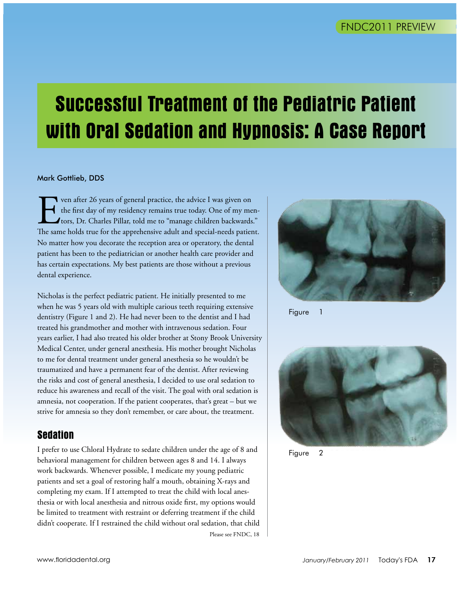# **Successful Treatment of the Pediatric Patient with Oral Sedation and Hypnosis: A Case Report**

#### Mark Gottlieb, DDS

Ven after 26 years of general practice, the advice I was given on the first day of my residency remains true today. One of my metrors, Dr. Charles Pillar, told me to "manage children backwards The same holds true for the a the first day of my residency remains true today. One of my mentors, Dr. Charles Pillar, told me to "manage children backwards." The same holds true for the apprehensive adult and special-needs patient. No matter how you decorate the reception area or operatory, the dental patient has been to the pediatrician or another health care provider and has certain expectations. My best patients are those without a previous dental experience.

Nicholas is the perfect pediatric patient. He initially presented to me when he was 5 years old with multiple carious teeth requiring extensive dentistry (Figure 1 and 2). He had never been to the dentist and I had treated his grandmother and mother with intravenous sedation. Four years earlier, I had also treated his older brother at Stony Brook University Medical Center, under general anesthesia. His mother brought Nicholas to me for dental treatment under general anesthesia so he wouldn't be traumatized and have a permanent fear of the dentist. After reviewing the risks and cost of general anesthesia, I decided to use oral sedation to reduce his awareness and recall of the visit. The goal with oral sedation is amnesia, not cooperation. If the patient cooperates, that's great  $-$  but we strive for amnesia so they don't remember, or care about, the treatment.

# **Sedation**

I prefer to use Chloral Hydrate to sedate children under the age of 8 and behavioral management for children between ages 8 and 14. I always work backwards. Whenever possible, I medicate my young pediatric patients and set a goal of restoring half a mouth, obtaining X-rays and completing my exam. If I attempted to treat the child with local anesthesia or with local anesthesia and nitrous oxide first, my options would be limited to treatment with restraint or deferring treatment if the child didn't cooperate. If I restrained the child without oral sedation, that child Please see FNDC, 18



Figure 1



Figure 2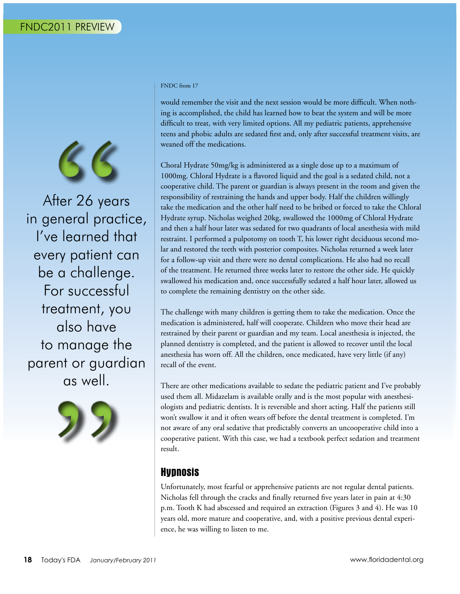

After 26 years in general practice, I've learned that every patient can be a challenge. For successful treatment, you also have to manage the parent or guardian as well.



#### FNDC from 17

would remember the visit and the next session would be more difficult. When nothing is accomplished, the child has learned how to beat the system and will be more difficult to treat, with very limited options. All my pediatric patients, apprehensive teens and phobic adults are sedated first and, only after successful treatment visits, are weaned off the medications.

Choral Hydrate 50mg/kg is administered as a single dose up to a maximum of 1000mg. Chloral Hydrate is a flavored liquid and the goal is a sedated child, not a cooperative child. The parent or guardian is always present in the room and given the responsibility of restraining the hands and upper body. Half the children willingly take the medication and the other half need to be bribed or forced to take the Chloral Hydrate syrup. Nicholas weighed 20kg, swallowed the 1000mg of Chloral Hydrate and then a half hour later was sedated for two quadrants of local anesthesia with mild restraint. I performed a pulpotomy on tooth T, his lower right deciduous second molar and restored the teeth with posterior composites. Nicholas returned a week later for a follow-up visit and there were no dental complications. He also had no recall of the treatment. He returned three weeks later to restore the other side. He quickly swallowed his medication and, once successfully sedated a half hour later, allowed us to complete the remaining dentistry on the other side.

The challenge with many children is getting them to take the medication. Once the medication is administered, half will cooperate. Children who move their head are restrained by their parent or guardian and my team. Local anesthesia is injected, the planned dentistry is completed, and the patient is allowed to recover until the local anesthesia has worn off. All the children, once medicated, have very little (if any) recall of the event.

There are other medications available to sedate the pediatric patient and I've probably used them all. Midazelam is available orally and is the most popular with anesthesiologists and pediatric dentists. It is reversible and short acting. Half the patients still won't swallow it and it often wears off before the dental treatment is completed. I'm not aware of any oral sedative that predictably converts an uncooperative child into a cooperative patient. With this case, we had a textbook perfect sedation and treatment result.

# **Hypnosis**

Unfortunately, most fearful or apprehensive patients are not regular dental patients. Nicholas fell through the cracks and finally returned five years later in pain at 4:30 p.m. Tooth K had abscessed and required an extraction (Figures 3 and 4). He was 10 years old, more mature and cooperative, and, with a positive previous dental experience, he was willing to listen to me.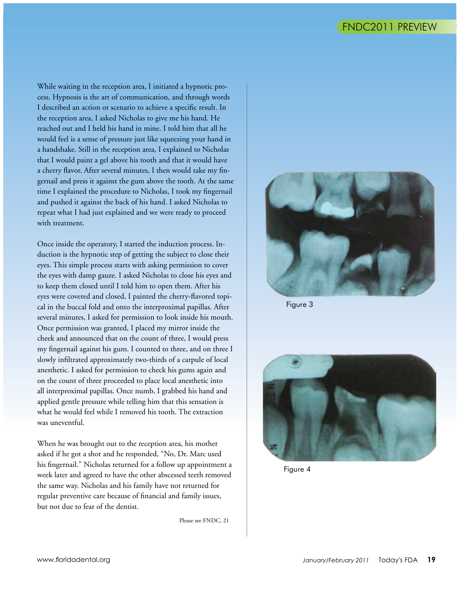While waiting in the reception area, I initiated a hypnotic process. Hypnosis is the art of communication, and through words I described an action or scenario to achieve a specific result. In the reception area, I asked Nicholas to give me his hand. He reached out and I held his hand in mine. I told him that all he would feel is a sense of pressure just like squeezing your hand in a handshake. Still in the reception area, I explained to Nicholas that I would paint a gel above his tooth and that it would have a cherry flavor. After several minutes, I then would take my fingernail and press it against the gum above the tooth. At the same time I explained the procedure to Nicholas, I took my fingernail and pushed it against the back of his hand. I asked Nicholas to repeat what I had just explained and we were ready to proceed with treatment.

Once inside the operatory, I started the induction process. Induction is the hypnotic step of getting the subject to close their eyes. This simple process starts with asking permission to cover the eyes with damp gauze. I asked Nicholas to close his eyes and to keep them closed until I told him to open them. After his eyes were covered and closed, I painted the cherry-flavored topical in the buccal fold and onto the interproximal papillas. After several minutes, I asked for permission to look inside his mouth. Once permission was granted, I placed my mirror inside the cheek and announced that on the count of three, I would press my fingernail against his gum. I counted to three, and on three I slowly infiltrated approximately two-thirds of a carpule of local anesthetic. I asked for permission to check his gums again and on the count of three proceeded to place local anesthetic into all interproximal papillas. Once numb, I grabbed his hand and applied gentle pressure while telling him that this sensation is what he would feel while I removed his tooth. The extraction was uneventful.

When he was brought out to the reception area, his mother asked if he got a shot and he responded, "No, Dr. Marc used his fingernail." Nicholas returned for a follow up appointment a week later and agreed to have the other abscessed teeth removed the same way. Nicholas and his family have not returned for regular preventive care because of financial and family issues, but not due to fear of the dentist.

Please see FNDC, 21



Figure 3



Figure 4